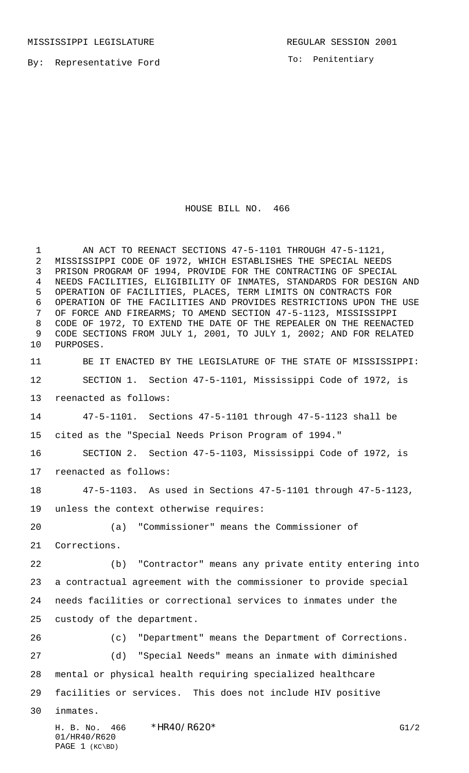By: Representative Ford

PAGE 1 (KC\BD)

To: Penitentiary

## HOUSE BILL NO. 466

H. B. No. 466 \*HR40/R620\* G1/2 01/HR40/R620 1 AN ACT TO REENACT SECTIONS 47-5-1101 THROUGH 47-5-1121, MISSISSIPPI CODE OF 1972, WHICH ESTABLISHES THE SPECIAL NEEDS PRISON PROGRAM OF 1994, PROVIDE FOR THE CONTRACTING OF SPECIAL NEEDS FACILITIES, ELIGIBILITY OF INMATES, STANDARDS FOR DESIGN AND OPERATION OF FACILITIES, PLACES, TERM LIMITS ON CONTRACTS FOR OPERATION OF THE FACILITIES AND PROVIDES RESTRICTIONS UPON THE USE OF FORCE AND FIREARMS; TO AMEND SECTION 47-5-1123, MISSISSIPPI CODE OF 1972, TO EXTEND THE DATE OF THE REPEALER ON THE REENACTED CODE SECTIONS FROM JULY 1, 2001, TO JULY 1, 2002; AND FOR RELATED PURPOSES. BE IT ENACTED BY THE LEGISLATURE OF THE STATE OF MISSISSIPPI: SECTION 1. Section 47-5-1101, Mississippi Code of 1972, is reenacted as follows: 47-5-1101. Sections 47-5-1101 through 47-5-1123 shall be cited as the "Special Needs Prison Program of 1994." SECTION 2. Section 47-5-1103, Mississippi Code of 1972, is reenacted as follows: 47-5-1103. As used in Sections 47-5-1101 through 47-5-1123, unless the context otherwise requires: (a) "Commissioner" means the Commissioner of Corrections. (b) "Contractor" means any private entity entering into a contractual agreement with the commissioner to provide special needs facilities or correctional services to inmates under the custody of the department. (c) "Department" means the Department of Corrections. (d) "Special Needs" means an inmate with diminished mental or physical health requiring specialized healthcare facilities or services. This does not include HIV positive inmates.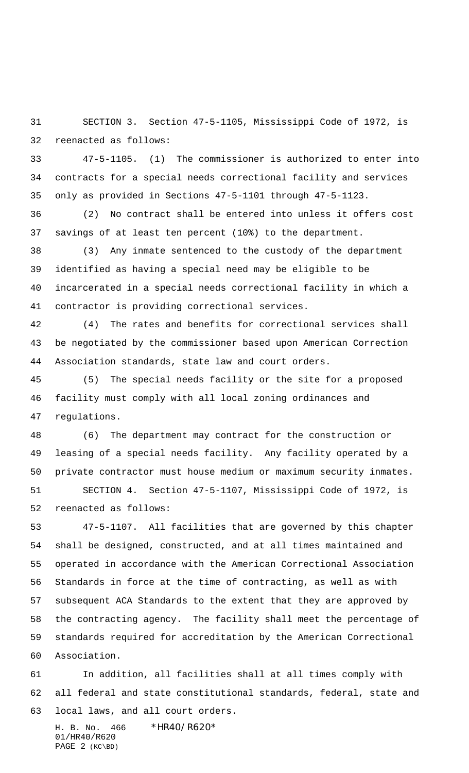SECTION 3. Section 47-5-1105, Mississippi Code of 1972, is reenacted as follows:

 47-5-1105. (1) The commissioner is authorized to enter into contracts for a special needs correctional facility and services only as provided in Sections 47-5-1101 through 47-5-1123.

 (2) No contract shall be entered into unless it offers cost savings of at least ten percent (10%) to the department.

 (3) Any inmate sentenced to the custody of the department identified as having a special need may be eligible to be incarcerated in a special needs correctional facility in which a contractor is providing correctional services.

 (4) The rates and benefits for correctional services shall be negotiated by the commissioner based upon American Correction Association standards, state law and court orders.

 (5) The special needs facility or the site for a proposed facility must comply with all local zoning ordinances and regulations.

 (6) The department may contract for the construction or leasing of a special needs facility. Any facility operated by a private contractor must house medium or maximum security inmates.

 SECTION 4. Section 47-5-1107, Mississippi Code of 1972, is reenacted as follows:

 47-5-1107. All facilities that are governed by this chapter shall be designed, constructed, and at all times maintained and operated in accordance with the American Correctional Association Standards in force at the time of contracting, as well as with subsequent ACA Standards to the extent that they are approved by the contracting agency. The facility shall meet the percentage of standards required for accreditation by the American Correctional Association.

 In addition, all facilities shall at all times comply with all federal and state constitutional standards, federal, state and local laws, and all court orders.

H. B. No. 466 \*HR40/R620\* 01/HR40/R620 PAGE 2 (KC\BD)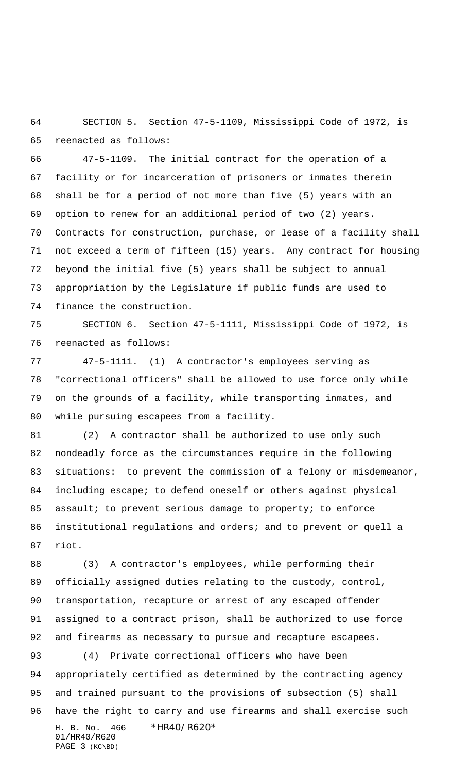SECTION 5. Section 47-5-1109, Mississippi Code of 1972, is reenacted as follows:

 47-5-1109. The initial contract for the operation of a facility or for incarceration of prisoners or inmates therein shall be for a period of not more than five (5) years with an option to renew for an additional period of two (2) years. Contracts for construction, purchase, or lease of a facility shall not exceed a term of fifteen (15) years. Any contract for housing beyond the initial five (5) years shall be subject to annual appropriation by the Legislature if public funds are used to finance the construction.

 SECTION 6. Section 47-5-1111, Mississippi Code of 1972, is reenacted as follows:

 47-5-1111. (1) A contractor's employees serving as "correctional officers" shall be allowed to use force only while on the grounds of a facility, while transporting inmates, and while pursuing escapees from a facility.

 (2) A contractor shall be authorized to use only such nondeadly force as the circumstances require in the following 83 situations: to prevent the commission of a felony or misdemeanor, including escape; to defend oneself or others against physical 85 assault; to prevent serious damage to property; to enforce institutional regulations and orders; and to prevent or quell a riot.

 (3) A contractor's employees, while performing their officially assigned duties relating to the custody, control, transportation, recapture or arrest of any escaped offender assigned to a contract prison, shall be authorized to use force and firearms as necessary to pursue and recapture escapees. (4) Private correctional officers who have been

H. B. No. 466 \*HR40/R620\* 01/HR40/R620 PAGE 3 (KC\BD) appropriately certified as determined by the contracting agency and trained pursuant to the provisions of subsection (5) shall have the right to carry and use firearms and shall exercise such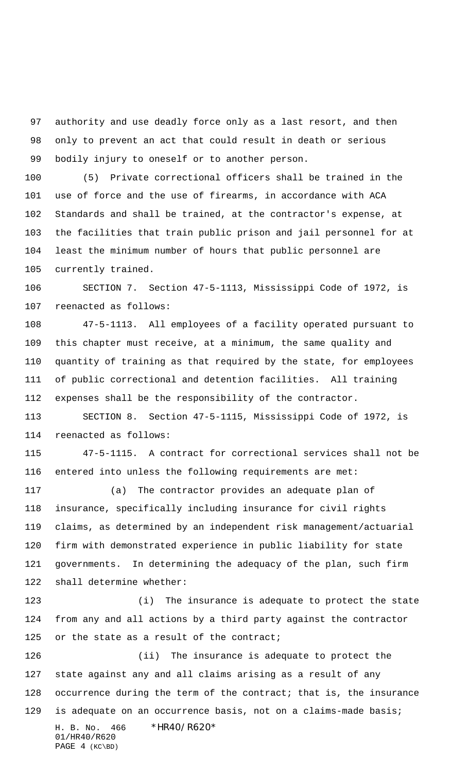authority and use deadly force only as a last resort, and then only to prevent an act that could result in death or serious bodily injury to oneself or to another person.

 (5) Private correctional officers shall be trained in the use of force and the use of firearms, in accordance with ACA Standards and shall be trained, at the contractor's expense, at the facilities that train public prison and jail personnel for at least the minimum number of hours that public personnel are currently trained.

 SECTION 7. Section 47-5-1113, Mississippi Code of 1972, is reenacted as follows:

 47-5-1113. All employees of a facility operated pursuant to this chapter must receive, at a minimum, the same quality and quantity of training as that required by the state, for employees of public correctional and detention facilities. All training expenses shall be the responsibility of the contractor.

 SECTION 8. Section 47-5-1115, Mississippi Code of 1972, is reenacted as follows:

 47-5-1115. A contract for correctional services shall not be entered into unless the following requirements are met:

 (a) The contractor provides an adequate plan of insurance, specifically including insurance for civil rights claims, as determined by an independent risk management/actuarial firm with demonstrated experience in public liability for state governments. In determining the adequacy of the plan, such firm shall determine whether:

 (i) The insurance is adequate to protect the state from any and all actions by a third party against the contractor 125 or the state as a result of the contract;

H. B. No. 466 \*HR40/R620\* 01/HR40/R620 PAGE 4 (KC\BD) (ii) The insurance is adequate to protect the state against any and all claims arising as a result of any occurrence during the term of the contract; that is, the insurance is adequate on an occurrence basis, not on a claims-made basis;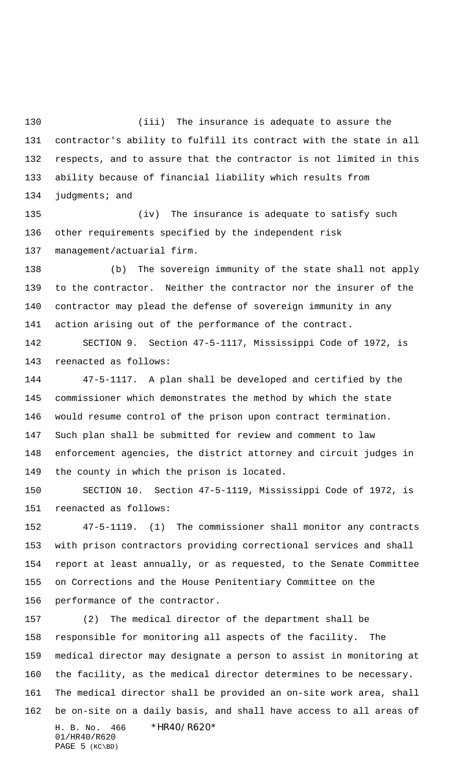(iii) The insurance is adequate to assure the contractor's ability to fulfill its contract with the state in all respects, and to assure that the contractor is not limited in this ability because of financial liability which results from 134 judgments; and

 (iv) The insurance is adequate to satisfy such other requirements specified by the independent risk management/actuarial firm.

 (b) The sovereign immunity of the state shall not apply to the contractor. Neither the contractor nor the insurer of the contractor may plead the defense of sovereign immunity in any action arising out of the performance of the contract.

 SECTION 9. Section 47-5-1117, Mississippi Code of 1972, is reenacted as follows:

 47-5-1117. A plan shall be developed and certified by the commissioner which demonstrates the method by which the state would resume control of the prison upon contract termination. Such plan shall be submitted for review and comment to law enforcement agencies, the district attorney and circuit judges in the county in which the prison is located.

 SECTION 10. Section 47-5-1119, Mississippi Code of 1972, is reenacted as follows:

 47-5-1119. (1) The commissioner shall monitor any contracts with prison contractors providing correctional services and shall report at least annually, or as requested, to the Senate Committee on Corrections and the House Penitentiary Committee on the performance of the contractor.

H. B. No. 466 \*HR40/R620\* 01/HR40/R620 PAGE 5 (KC\BD) (2) The medical director of the department shall be responsible for monitoring all aspects of the facility. The medical director may designate a person to assist in monitoring at the facility, as the medical director determines to be necessary. The medical director shall be provided an on-site work area, shall be on-site on a daily basis, and shall have access to all areas of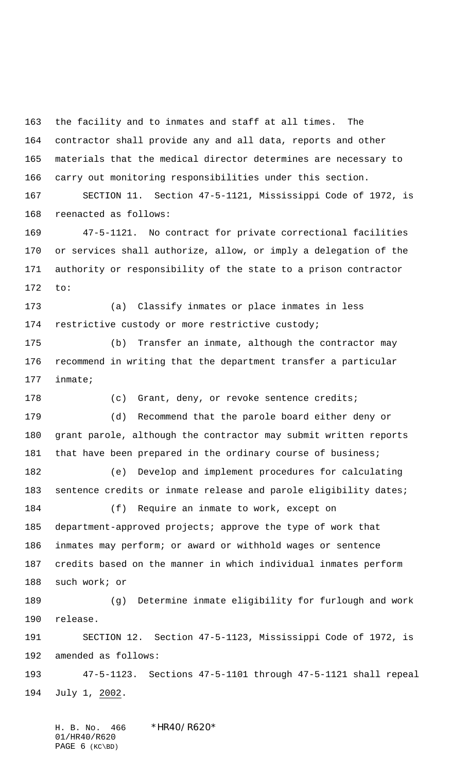the facility and to inmates and staff at all times. The contractor shall provide any and all data, reports and other materials that the medical director determines are necessary to carry out monitoring responsibilities under this section.

 SECTION 11. Section 47-5-1121, Mississippi Code of 1972, is reenacted as follows:

 47-5-1121. No contract for private correctional facilities or services shall authorize, allow, or imply a delegation of the authority or responsibility of the state to a prison contractor to:

 (a) Classify inmates or place inmates in less restrictive custody or more restrictive custody;

 (b) Transfer an inmate, although the contractor may recommend in writing that the department transfer a particular inmate;

178 (c) Grant, deny, or revoke sentence credits; (d) Recommend that the parole board either deny or grant parole, although the contractor may submit written reports 181 that have been prepared in the ordinary course of business;

 (e) Develop and implement procedures for calculating 183 sentence credits or inmate release and parole eligibility dates;

 (f) Require an inmate to work, except on department-approved projects; approve the type of work that inmates may perform; or award or withhold wages or sentence credits based on the manner in which individual inmates perform such work; or

 (g) Determine inmate eligibility for furlough and work release.

 SECTION 12. Section 47-5-1123, Mississippi Code of 1972, is amended as follows:

 47-5-1123. Sections 47-5-1101 through 47-5-1121 shall repeal July 1, 2002.

H. B. No. 466 \*HR40/R620\* 01/HR40/R620 PAGE (KC\BD)